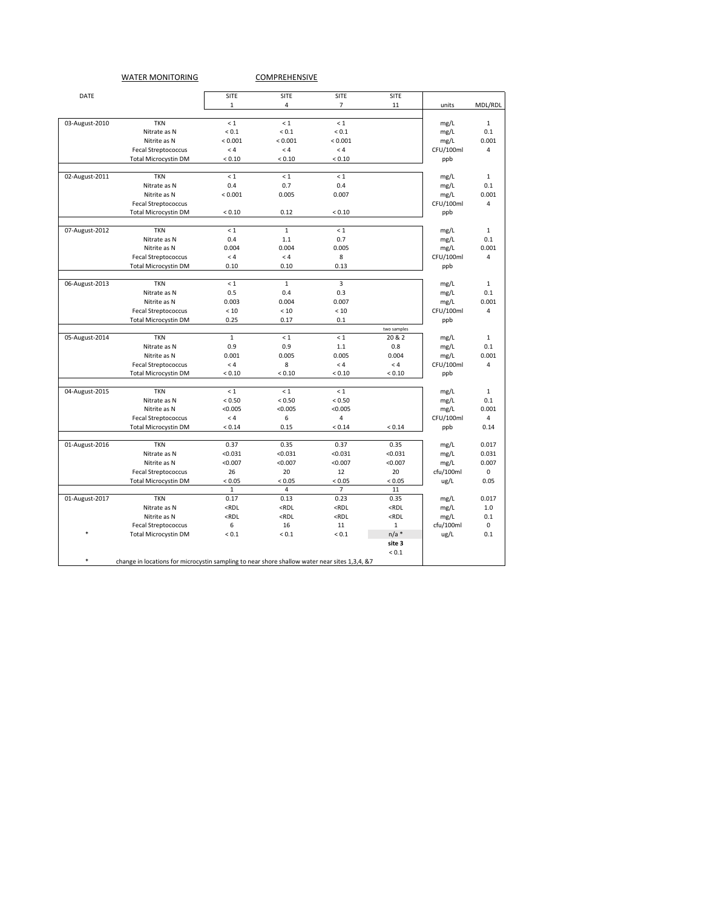## WATER MONITORING COMPREHENSIVE

| DATE           |                                                                                               | <b>SITE</b>                                                                                                                       | SITE                                                                                                  | SITE                                                                      | <b>SITE</b>                                  |           |                |
|----------------|-----------------------------------------------------------------------------------------------|-----------------------------------------------------------------------------------------------------------------------------------|-------------------------------------------------------------------------------------------------------|---------------------------------------------------------------------------|----------------------------------------------|-----------|----------------|
|                |                                                                                               | 1                                                                                                                                 | 4                                                                                                     | 7                                                                         | 11                                           | units     | MDL/RDL        |
| 03-August-2010 | <b>TKN</b>                                                                                    | $\leq 1$                                                                                                                          | $\leq 1$                                                                                              | $\leq 1$                                                                  |                                              | mg/L      | $\mathbf{1}$   |
|                | Nitrate as N                                                                                  | ${}_{0.1}$                                                                                                                        | ${}_{0.1}$                                                                                            | ${}_{0.1}$                                                                |                                              | mg/L      | 0.1            |
|                | Nitrite as N                                                                                  | < 0.001                                                                                                                           | < 0.001                                                                                               | < 0.001                                                                   |                                              | mg/L      | 0.001          |
|                | <b>Fecal Streptococcus</b>                                                                    | < 4                                                                                                                               | < 4                                                                                                   | < 4                                                                       |                                              | CFU/100ml | 4              |
|                | <b>Total Microcystin DM</b>                                                                   | < 0.10                                                                                                                            | < 0.10                                                                                                | < 0.10                                                                    |                                              | ppb       |                |
|                |                                                                                               |                                                                                                                                   |                                                                                                       |                                                                           |                                              |           |                |
| 02-August-2011 | <b>TKN</b>                                                                                    | $\leq 1$                                                                                                                          | $\leq 1$                                                                                              | < 1                                                                       |                                              | mg/L      | $\mathbf{1}$   |
|                | Nitrate as N                                                                                  | 0.4                                                                                                                               | 0.7                                                                                                   | 0.4                                                                       |                                              | mg/L      | 0.1            |
|                | Nitrite as N                                                                                  | < 0.001                                                                                                                           | 0.005                                                                                                 | 0.007                                                                     |                                              | mg/L      | 0.001          |
|                | <b>Fecal Streptococcus</b>                                                                    |                                                                                                                                   |                                                                                                       |                                                                           |                                              | CFU/100ml | 4              |
|                | <b>Total Microcystin DM</b>                                                                   | < 0.10                                                                                                                            | 0.12                                                                                                  | < 0.10                                                                    |                                              | ppb       |                |
| 07-August-2012 | <b>TKN</b>                                                                                    | $\leq 1$                                                                                                                          | $\mathbf{1}$                                                                                          | $\leq 1$                                                                  |                                              | mg/L      | $\mathbf{1}$   |
|                | Nitrate as N                                                                                  | 0.4                                                                                                                               | $1.1\,$                                                                                               | 0.7                                                                       |                                              | mg/L      | 0.1            |
|                | Nitrite as N                                                                                  | 0.004                                                                                                                             | 0.004                                                                                                 | 0.005                                                                     |                                              | mg/L      | 0.001          |
|                | <b>Fecal Streptococcus</b>                                                                    | < 4                                                                                                                               | < 4                                                                                                   | 8                                                                         |                                              | CFU/100ml | 4              |
|                |                                                                                               | 0.10                                                                                                                              | 0.10                                                                                                  | 0.13                                                                      |                                              | ppb       |                |
|                | <b>Total Microcystin DM</b>                                                                   |                                                                                                                                   |                                                                                                       |                                                                           |                                              |           |                |
| 06-August-2013 | <b>TKN</b>                                                                                    | < 1                                                                                                                               | $\mathbf{1}$                                                                                          | 3                                                                         |                                              | mg/L      | $\mathbf{1}$   |
|                | Nitrate as N                                                                                  | 0.5                                                                                                                               | 0.4                                                                                                   | 0.3                                                                       |                                              | mg/L      | 0.1            |
|                | Nitrite as N                                                                                  | 0.003                                                                                                                             | 0.004                                                                                                 | 0.007                                                                     |                                              | mg/L      | 0.001          |
|                | <b>Fecal Streptococcus</b>                                                                    | < 10                                                                                                                              | < 10                                                                                                  | < 10                                                                      |                                              | CFU/100ml | $\overline{4}$ |
|                | <b>Total Microcystin DM</b>                                                                   | 0.25                                                                                                                              | 0.17                                                                                                  | 0.1                                                                       |                                              | ppb       |                |
|                |                                                                                               |                                                                                                                                   |                                                                                                       |                                                                           | two samples                                  |           |                |
| 05-August-2014 | <b>TKN</b>                                                                                    | $\mathbf{1}$                                                                                                                      | $\leq 1$                                                                                              | $\leq 1$                                                                  | 20 & 2                                       | mg/L      | $\mathbf{1}$   |
|                | Nitrate as N                                                                                  | 0.9                                                                                                                               | 0.9                                                                                                   | 1.1                                                                       | 0.8                                          | mg/L      | 0.1            |
|                | Nitrite as N                                                                                  | 0.001                                                                                                                             | 0.005                                                                                                 | 0.005                                                                     | 0.004                                        | mg/L      | 0.001          |
|                | <b>Fecal Streptococcus</b>                                                                    | $< 4$                                                                                                                             | 8                                                                                                     | < 4                                                                       | < 4                                          | CFU/100ml | 4              |
|                | <b>Total Microcystin DM</b>                                                                   | < 0.10                                                                                                                            | < 0.10                                                                                                | < 0.10                                                                    | < 0.10                                       | ppb       |                |
| 04-August-2015 | <b>TKN</b>                                                                                    | $\leq 1$                                                                                                                          | < 1                                                                                                   | < 1                                                                       |                                              | mg/L      | 1              |
|                | Nitrate as N                                                                                  | < 0.50                                                                                                                            | < 0.50                                                                                                | < 0.50                                                                    |                                              | mg/L      | 0.1            |
|                | Nitrite as N                                                                                  | < 0.005                                                                                                                           | < 0.005                                                                                               | < 0.005                                                                   |                                              | mg/L      | 0.001          |
|                | <b>Fecal Streptococcus</b>                                                                    | < 4                                                                                                                               | 6                                                                                                     | 4                                                                         |                                              | CFU/100ml | 4              |
|                | <b>Total Microcystin DM</b>                                                                   | < 0.14                                                                                                                            | 0.15                                                                                                  | < 0.14                                                                    | < 0.14                                       | ppb       | 0.14           |
|                |                                                                                               |                                                                                                                                   |                                                                                                       |                                                                           |                                              |           |                |
| 01-August-2016 | <b>TKN</b>                                                                                    | 0.37                                                                                                                              | 0.35                                                                                                  | 0.37                                                                      | 0.35                                         | mg/L      | 0.017          |
|                | Nitrate as N                                                                                  | < 0.031                                                                                                                           | < 0.031                                                                                               | < 0.031                                                                   | < 0.031                                      | mg/L      | 0.031          |
|                | Nitrite as N                                                                                  | < 0.007                                                                                                                           | < 0.007                                                                                               | < 0.007                                                                   | < 0.007                                      | mg/L      | 0.007          |
|                | <b>Fecal Streptococcus</b>                                                                    | 26                                                                                                                                | 20                                                                                                    | 12                                                                        | 20                                           | cfu/100ml | 0              |
|                | <b>Total Microcystin DM</b>                                                                   | < 0.05<br>$\mathbf{1}$                                                                                                            | < 0.05<br>4                                                                                           | < 0.05<br>7                                                               | < 0.05<br>11                                 | ug/L      | 0.05           |
| 01-August-2017 | <b>TKN</b>                                                                                    | 0.17                                                                                                                              | 0.13                                                                                                  | 0.23                                                                      | 0.35                                         | mg/L      | 0.017          |
|                | Nitrate as N                                                                                  | <rdl< td=""><td><rdl< td=""><td><math>&lt;</math>RDL</td><td><rdl< td=""><td>mg/L</td><td>1.0</td></rdl<></td></rdl<></td></rdl<> | <rdl< td=""><td><math>&lt;</math>RDL</td><td><rdl< td=""><td>mg/L</td><td>1.0</td></rdl<></td></rdl<> | $<$ RDL                                                                   | <rdl< td=""><td>mg/L</td><td>1.0</td></rdl<> | mg/L      | 1.0            |
|                | Nitrite as N                                                                                  | $<$ RDL                                                                                                                           | <rdl< td=""><td><rdl< td=""><td><math>&lt;</math>RDL</td><td>mg/L</td><td>0.1</td></rdl<></td></rdl<> | <rdl< td=""><td><math>&lt;</math>RDL</td><td>mg/L</td><td>0.1</td></rdl<> | $<$ RDL                                      | mg/L      | 0.1            |
|                | <b>Fecal Streptococcus</b>                                                                    | 6                                                                                                                                 | 16                                                                                                    | 11                                                                        | $\mathbf{1}$                                 | cfu/100ml | 0              |
|                | <b>Total Microcystin DM</b>                                                                   | ${}_{0.1}$                                                                                                                        | ${}_{0.1}$                                                                                            | ${}_{0.1}$                                                                | $n/a$ *                                      | ug/L      | 0.1            |
|                |                                                                                               |                                                                                                                                   |                                                                                                       |                                                                           | site 3                                       |           |                |
|                |                                                                                               |                                                                                                                                   |                                                                                                       |                                                                           | ${}_{0.1}$                                   |           |                |
| $\ast$         | change in locations for microcystin sampling to near shore shallow water near sites 1,3,4, &7 |                                                                                                                                   |                                                                                                       |                                                                           |                                              |           |                |
|                |                                                                                               |                                                                                                                                   |                                                                                                       |                                                                           |                                              |           |                |